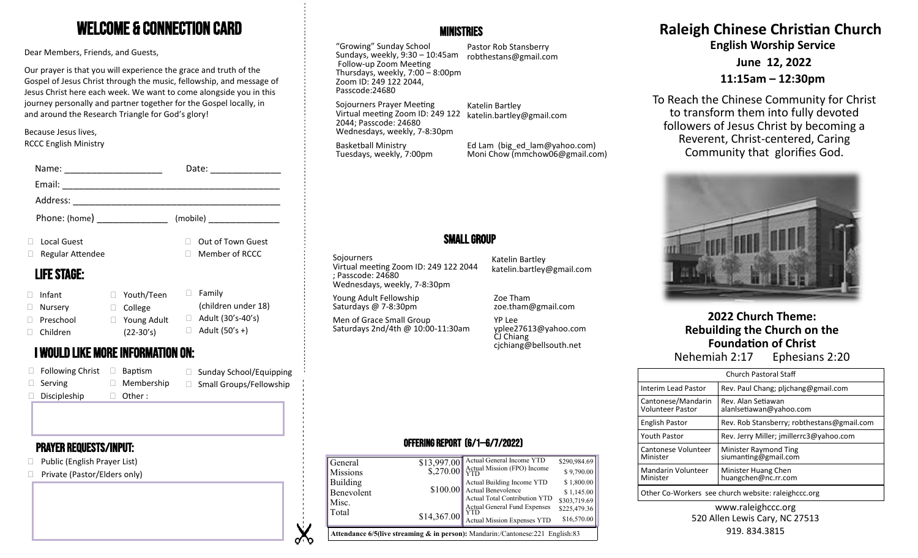# Welcome & Connection Card

Dear Members, Friends, and Guests,

Our prayer is that you will experience the grace and truth of the Gospel of Jesus Christ through the music, fellowship, and message of Jesus Christ here each week. We want to come alongside you in this journey personally and partner together for the Gospel locally, in and around the Research Triangle for God's glory!

Because Jesus lives, RCCC English Ministry

|                               |                                 |                                      |   | Date:<br><u> 1989 - Jan Barbara Barbara, prima popula</u> |
|-------------------------------|---------------------------------|--------------------------------------|---|-----------------------------------------------------------|
|                               | Email:                          |                                      |   |                                                           |
|                               | Address:                        |                                      |   |                                                           |
| Phone: (home) _______________ |                                 |                                      |   |                                                           |
|                               | Local Guest<br>Regular Attendee |                                      |   | Out of Town Guest<br>Member of RCCC                       |
|                               | <b>LIFE STAGE:</b>              |                                      |   |                                                           |
|                               | Infant<br>Nursery<br>Preschool  | Youth/Teen<br>College<br>Young Adult | Ш | Family<br>(children under 18)<br>Adult (30's-40's)        |
| $\Box$                        | Children                        | $(22-30's)$                          |   | Adult (50's +)                                            |

# **Nehemiah 2:17** Ephesians 2:20 **I WOULD LIKE MORE INFORMATION ON:** And the set of the set of the set of the set of the set of the set of the set of the set of the set of the set of the set of the set of the set of the set

| $\Box$ Following Christ | $\Box$ Baptism    | □ Sunday School/Equipping      |
|-------------------------|-------------------|--------------------------------|
| $\Box$ Serving          | $\Box$ Membership | $\Box$ Small Groups/Fellowship |
| $\Box$ Discipleship     | $\Box$ Other:     |                                |

## Prayer requests/Input:

- □ Public (English Prayer List)
- □ Private (Pastor/Elders only)

## **MINISTRIES**

"Growing" Sunday School Sundays, weekly, 9:30 – 10:45am robthestans@gmail.com Follow-up Zoom Meeting Thursdays, weekly, 7:00 – 8:00pm Zoom ID: 249 122 2044, Passcode:24680

Pastor Rob Stansberry

Sojourners Prayer Meeting Virtual meeting Zoom ID: 249 122 Katelin Bartley

Wednesdays, weekly, 7-8:30pm katelin.bartley@gmail.com

Basketball Ministry Tuesdays, weekly, 7:00pm

2044; Passcode: 24680

Ed Lam (big\_ed\_lam@yahoo.com) Moni Chow (mmchow06@gmail.com)

# Small Group

**Sojourners** Virtual meeting Zoom ID: 249 122 2044 ; Passcode: 24680 Wednesdays, weekly, 7-8:30pm

Young Adult Fellowship Saturdays @ 7-8:30pm

Men of Grace Small Group Saturdays 2nd/4th @ 10:00-11:30am

Katelin Bartley katelin.bartley@gmail.com

Zoe Tham zoe.tham@gmail.com

YP Lee yplee27613@yahoo.com CJ Chiang cjchiang@bellsouth.net

## Offering Report (6/1—6/7/2022)

| General<br><b>Missions</b>                                                                |             | \$13,997.00 Actual General Income YTD<br>$\sim$ \$,270.00 Actual Mission (FPO) Income                                      | \$290,984.69<br>\$9,790.00               |  |
|-------------------------------------------------------------------------------------------|-------------|----------------------------------------------------------------------------------------------------------------------------|------------------------------------------|--|
| Building<br>Benevolent<br>Misc.                                                           |             | Actual Building Income YTD<br>\$100.00 Actual Benevolence<br>Actual Total Contribution YTD<br>Actual General Fund Expenses | \$1,800.00<br>\$1,145.00<br>\$303,719.69 |  |
| Total                                                                                     | \$14,367.00 | Actual Mission Expenses YTD                                                                                                | \$225,479.36<br>\$16,570.00              |  |
| <b>Attendance 6/5(live streaming &amp; in person):</b> Mandarin:/Cantonese:221 English:83 |             |                                                                                                                            |                                          |  |

# **Raleigh Chinese Christian Church**

**English Worship Service**

**June 12, 2022**

**11:15am – 12:30pm**

To Reach the Chinese Community for Christ to transform them into fully devoted followers of Jesus Christ by becoming a Reverent, Christ-centered, Caring Community that glorifies God.



# **2022 Church Theme: Rebuilding the Church on the Foundation of Christ**

|                                               | <b>Church Pastoral Staff</b>                        |  |  |
|-----------------------------------------------|-----------------------------------------------------|--|--|
| Interim Lead Pastor                           | Rev. Paul Chang; plichang@gmail.com                 |  |  |
| Cantonese/Mandarin<br><b>Volunteer Pastor</b> | Rev. Alan Setiawan<br>alanlsetiawan@yahoo.com       |  |  |
| <b>English Pastor</b>                         | Rev. Rob Stansberry; robthestans@gmail.com          |  |  |
| <b>Youth Pastor</b>                           | Rev. Jerry Miller; imillerrc3@yahoo.com             |  |  |
| Cantonese Volunteer<br>Minister               | Minister Raymond Ting<br>siumanting@gmail.com       |  |  |
| Mandarin Volunteer<br>Minister                | Minister Huang Chen<br>huangchen@nc.rr.com          |  |  |
|                                               | Other Co-Workers see church website: raleighccc.org |  |  |

#### www.raleighccc.org 520 Allen Lewis Cary, NC 27513 919.834.3815